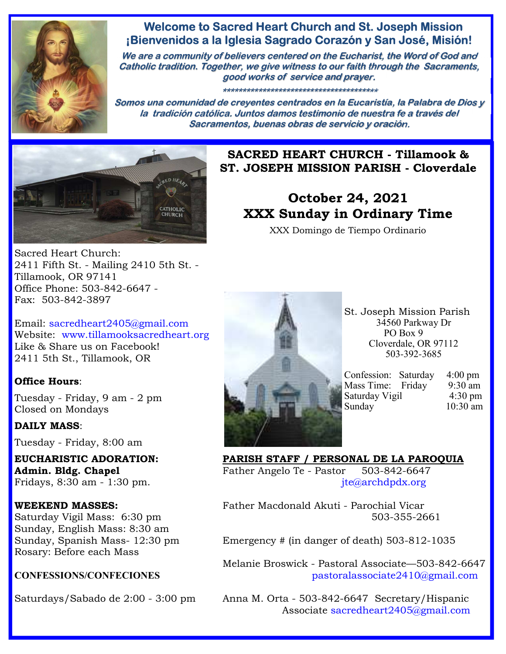

## **Welcome to Sacred Heart Church and St. Joseph Mission ¡Bienvenidos a la Iglesia Sagrado Corazón y San José, Misión!**

**We are a community of believers centered on the Eucharist, the Word of God and Catholic tradition. Together, we give witness to our faith through the Sacraments, good works of service and prayer.**

**\*\*\*\*\*\*\*\*\*\*\*\*\*\*\*\*\*\*\*\*\*\*\*\*\*\*\*\*\*\*\*\*\*\*\*\*\*\*\***

**Somos una comunidad de creyentes centrados en la Eucaristía, la Palabra de Dios y la tradición católica. Juntos damos testimonio de nuestra fe a través del Sacramentos, buenas obras de servicio y oración.**



**SACRED HEART CHURCH - Tillamook & ST. JOSEPH MISSION PARISH - Cloverdale** 

# **October 24, 2021 XXX Sunday in Ordinary Time**

XXX Domingo de Tiempo Ordinario

Sacred Heart Church: 2411 Fifth St. - Mailing 2410 5th St. - Tillamook, OR 97141 Office Phone: 503-842-6647 - Fax: 503-842-3897

Email: sacredheart2405@gmail.com Website: www.tillamooksacredheart.org Like & Share us on Facebook! 2411 5th St., Tillamook, OR

### **Office Hours**:

Tuesday - Friday, 9 am - 2 pm Closed on Mondays

### **DAILY MASS**:

Tuesday - Friday, 8:00 am

Sunday, English Mass: 8:30 am Rosary: Before each Mass



St. Joseph Mission Parish 34560 Parkway Dr PO Box 9 Cloverdale, OR 97112 503-392-3685

| Confession: Saturday | $4:00 \text{ pm}$ |
|----------------------|-------------------|
| Mass Time: Friday    | 9:30 am           |
| Saturday Vigil       | $4:30 \text{ pm}$ |
|                      | $10:30$ am        |
|                      |                   |

**EUCHARISTIC ADORATION: PARISH STAFF / PERSONAL DE LA PAROQUIA**  Admin. Bldg. Chapel **Father Angelo Te - Pastor** 503-842-6647 Fridays, 8:30 am - 1:30 pm.  $\text{if } t \in \mathbb{Q}$  ite $\mathbb{Q}$  archdpdx.org

**WEEKEND MASSES:** Father Macdonald Akuti - Parochial Vicar Saturday Vigil Mass: 6:30 pm 503-355-2661

Sunday, Spanish Mass- 12:30 pm Emergency # (in danger of death) 503-812-1035

 Melanie Broswick - Pastoral Associate—503-842-6647 **CONFESSIONS/CONFECIONES** pastoralassociate2410@gmail.com

Saturdays/Sabado de 2:00 - 3:00 pm Anna M. Orta - 503-842-6647 Secretary/Hispanic Associate sacredheart2405@gmail.com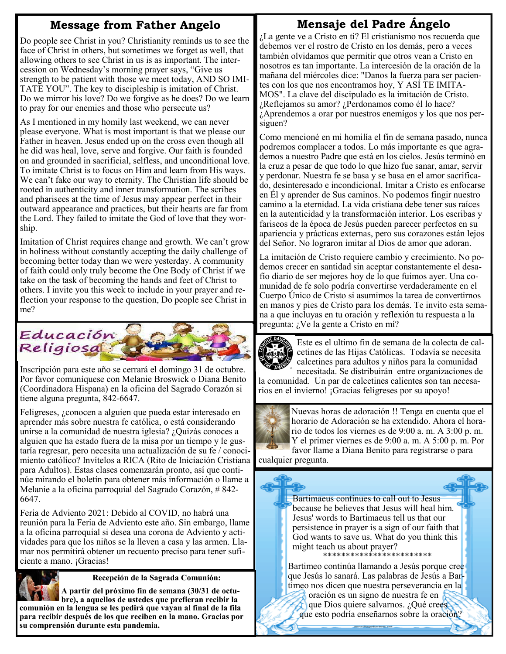## **Message from Father Angelo**

## **Mensaje del Padre Ángelo**

Do people see Christ in you? Christianity reminds us to see the face of Christ in others, but sometimes we forget as well, that allowing others to see Christ in us is as important. The intercession on Wednesday's morning prayer says, "Give us strength to be patient with those we meet today, AND SO IMI-TATE YOU". The key to discipleship is imitation of Christ. Do we mirror his love? Do we forgive as he does? Do we learn to pray for our enemies and those who persecute us?

As I mentioned in my homily last weekend, we can never please everyone. What is most important is that we please our Father in heaven. Jesus ended up on the cross even though all he did was heal, love, serve and forgive. Our faith is founded on and grounded in sacrificial, selfless, and unconditional love. To imitate Christ is to focus on Him and learn from His ways. We can't fake our way to eternity. The Christian life should be rooted in authenticity and inner transformation. The scribes and pharisees at the time of Jesus may appear perfect in their outward appearance and practices, but their hearts are far from the Lord. They failed to imitate the God of love that they worship.

Imitation of Christ requires change and growth. We can't grow in holiness without constantly accepting the daily challenge of becoming better today than we were yesterday. A community of faith could only truly become the One Body of Christ if we take on the task of becoming the hands and feet of Christ to others. I invite you this week to include in your prayer and reflection your response to the question, Do people see Christ in me?



Inscripción para este año se cerrará el domingo 31 de octubre. Por favor comuníquese con Melanie Broswick o Diana Benito (Coordinadora Hispana) en la oficina del Sagrado Corazón si tiene alguna pregunta, 842-6647.

Feligreses, ¿conocen a alguien que pueda estar interesado en aprender más sobre nuestra fe católica, o está considerando unirse a la comunidad de nuestra iglesia? ¿Quizás conoces a alguien que ha estado fuera de la misa por un tiempo y le gustaría regresar, pero necesita una actualización de su fe / conocimiento católico? Invítelos a RICA (Rito de Iniciación Cristiana para Adultos). Estas clases comenzarán pronto, así que continúe mirando el boletín para obtener más información o llame a Melanie a la oficina parroquial del Sagrado Corazón, # 842- 6647.

Feria de Adviento 2021: Debido al COVID, no habrá una reunión para la Feria de Adviento este año. Sin embargo, llame a la oficina parroquial si desea una corona de Adviento y actividades para que los niños se la lleven a casa y las armen. Llamar nos permitirá obtener un recuento preciso para tener suficiente a mano. ¡Gracias!



 **Recepción de la Sagrada Comunión:** 

**A partir del próximo fin de semana (30/31 de octubre), a aquellos de ustedes que prefieran recibir la comunión en la lengua se les pedirá que vayan al final de la fila para recibir después de los que reciben en la mano. Gracias por su comprensión durante esta pandemia.**

¿La gente ve a Cristo en ti? El cristianismo nos recuerda que debemos ver el rostro de Cristo en los demás, pero a veces también olvidamos que permitir que otros vean a Cristo en nosotros es tan importante. La intercesión de la oración de la mañana del miércoles dice: "Danos la fuerza para ser pacientes con los que nos encontramos hoy, Y ASÍ TE IMITA-MOS". La clave del discipulado es la imitación de Cristo. ¿Reflejamos su amor? ¿Perdonamos como él lo hace? ¿Aprendemos a orar por nuestros enemigos y los que nos persiguen?

Como mencioné en mi homilía el fin de semana pasado, nunca podremos complacer a todos. Lo más importante es que agrademos a nuestro Padre que está en los cielos. Jesús terminó en la cruz a pesar de que todo lo que hizo fue sanar, amar, servir y perdonar. Nuestra fe se basa y se basa en el amor sacrificado, desinteresado e incondicional. Imitar a Cristo es enfocarse en Él y aprender de Sus caminos. No podemos fingir nuestro camino a la eternidad. La vida cristiana debe tener sus raíces en la autenticidad y la transformación interior. Los escribas y fariseos de la época de Jesús pueden parecer perfectos en su apariencia y prácticas externas, pero sus corazones están lejos del Señor. No lograron imitar al Dios de amor que adoran.

La imitación de Cristo requiere cambio y crecimiento. No podemos crecer en santidad sin aceptar constantemente el desafío diario de ser mejores hoy de lo que fuimos ayer. Una comunidad de fe solo podría convertirse verdaderamente en el Cuerpo Único de Cristo si asumimos la tarea de convertirnos en manos y pies de Cristo para los demás. Te invito esta semana a que incluyas en tu oración y reflexión tu respuesta a la pregunta: ¿Ve la gente a Cristo en mí?



Este es el ultimo fin de semana de la colecta de calcetines de las Hijas Católicas. Todavía se necesita calcetines para adultos y niños para la comunidad necesitada. Se distribuirán entre organizaciones de

la comunidad. Un par de calcetines calientes son tan necesarios en el invierno! ¡Gracias feligreses por su apoyo!



Nuevas horas de adoración !! Tenga en cuenta que el horario de Adoración se ha extendido. Ahora el horario de todos los viernes es de 9:00 a. m. A 3:00 p. m. Y el primer viernes es de 9:00 a. m. A 5:00 p. m. Por favor llame a Diana Benito para registrarse o para

 cualquier pregunta.

> Bartimaeus continues to call out to Jesus because he believes that Jesus will heal him. Jesus' words to Bartimaeus tell us that our persistence in prayer is a sign of our faith that God wants to save us. What do you think this might teach us about prayer? \*\*\*\*\*\*\*\*\*\*\*\*\*\*\*\*\*\*\*\*\*\*\*\*

Bartimeo continúa llamando a Jesús porque cree que Jesús lo sanará. Las palabras de Jesús a Bartimeo nos dicen que nuestra perseverancia en la oración es un signo de nuestra fe en

que Dios quiere salvarnos. ¿Qué crees que esto podría enseñarnos sobre la oración?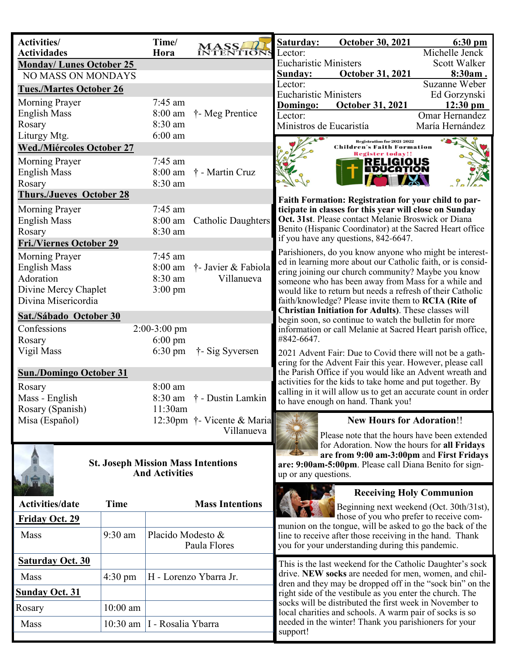| <b>Activities/</b><br><b>Actividades</b>                           | Time/<br>Hora        | <b>MASS</b><br><b>INTENTIONS</b>                       | Saturday:<br><b>October 30, 2021</b><br>$6:30$ pm<br>Michelle Jenck<br>Lector:                                                                                                          |  |
|--------------------------------------------------------------------|----------------------|--------------------------------------------------------|-----------------------------------------------------------------------------------------------------------------------------------------------------------------------------------------|--|
| <b>Monday/Lunes October 25</b>                                     |                      |                                                        | <b>Eucharistic Ministers</b><br>Scott Walker                                                                                                                                            |  |
| <b>NO MASS ON MONDAYS</b>                                          |                      |                                                        | October 31, 2021<br>8:30am.<br>Sunday:                                                                                                                                                  |  |
| <b>Tues./Martes October 26</b>                                     |                      |                                                        | Suzanne Weber<br>Lector:                                                                                                                                                                |  |
| <b>Morning Prayer</b>                                              | 7:45 am              |                                                        | <b>Eucharistic Ministers</b><br>Ed Gorzynski                                                                                                                                            |  |
| <b>English Mass</b>                                                | 8:00 am              | † Meg Prentice                                         | <b>October 31, 2021</b><br>$12:30 \text{ pm}$<br>Domingo:<br>Omar Hernandez<br>Lector:                                                                                                  |  |
| Rosary                                                             | 8:30 am              |                                                        | Ministros de Eucaristía<br>María Hernández                                                                                                                                              |  |
| Liturgy Mtg.                                                       | $6:00$ am            |                                                        | <b>Registration for 2021-2022</b>                                                                                                                                                       |  |
| <b>Wed./Miércoles October 27</b>                                   |                      |                                                        | <b>Children's Faith Formation</b><br><b>Register today!!</b>                                                                                                                            |  |
| <b>Morning Prayer</b>                                              | 7:45 am              |                                                        | RELIGIOUS                                                                                                                                                                               |  |
| <b>English Mass</b>                                                | 8:00 am              | † - Martin Cruz                                        | EDUCATION                                                                                                                                                                               |  |
| Rosary                                                             | 8:30 am              |                                                        |                                                                                                                                                                                         |  |
| <b>Thurs./Jueves October 28</b>                                    |                      |                                                        | Faith Formation: Registration for your child to par-                                                                                                                                    |  |
| Morning Prayer                                                     | $7:45$ am            |                                                        | ticipate in classes for this year will close on Sunday                                                                                                                                  |  |
| <b>English Mass</b>                                                | 8:00 am              | Catholic Daughters                                     | Oct. 31st. Please contact Melanie Broswick or Diana                                                                                                                                     |  |
| Rosary                                                             | 8:30 am              |                                                        | Benito (Hispanic Coordinator) at the Sacred Heart office<br>if you have any questions, 842-6647.                                                                                        |  |
| <b>Fri./Viernes October 29</b>                                     |                      |                                                        | Parishioners, do you know anyone who might be interest-                                                                                                                                 |  |
| Morning Prayer                                                     | $7:45$ am            |                                                        | ed in learning more about our Catholic faith, or is consid-                                                                                                                             |  |
| <b>English Mass</b><br>Adoration                                   | $8:00$ am<br>8:30 am | † Javier & Fabiola<br>Villanueva                       | ering joining our church community? Maybe you know                                                                                                                                      |  |
| Divine Mercy Chaplet                                               | $3:00 \text{ pm}$    |                                                        | someone who has been away from Mass for a while and<br>would like to return but needs a refresh of their Catholic                                                                       |  |
| Divina Misericordia                                                |                      |                                                        | faith/knowledge? Please invite them to RCIA (Rite of                                                                                                                                    |  |
| Sat./Sábado October 30                                             |                      |                                                        | Christian Initiation for Adults). These classes will                                                                                                                                    |  |
| Confessions                                                        | $2:00-3:00$ pm       |                                                        | begin soon, so continue to watch the bulletin for more<br>information or call Melanie at Sacred Heart parish office,                                                                    |  |
| Rosary                                                             | $6:00 \text{ pm}$    |                                                        | #842-6647.                                                                                                                                                                              |  |
| Vigil Mass                                                         | $6:30 \text{ pm}$    | † - Sig Syversen                                       | 2021 Advent Fair: Due to Covid there will not be a gath-                                                                                                                                |  |
|                                                                    |                      |                                                        | ering for the Advent Fair this year. However, please call                                                                                                                               |  |
| <b>Sun./Domingo October 31</b>                                     |                      |                                                        | the Parish Office if you would like an Advent wreath and<br>activities for the kids to take home and put together. By                                                                   |  |
| Rosary                                                             | 8:00 am              |                                                        | calling in it will allow us to get an accurate count in order                                                                                                                           |  |
| Mass - English                                                     | 8:30 am<br>11:30am   | † - Dustin Lamkin                                      | to have enough on hand. Thank you!                                                                                                                                                      |  |
| Rosary (Spanish)<br>Misa (Español)                                 |                      | 12:30pm † Vicente & Maria                              | <b>New Hours for Adoration!!</b>                                                                                                                                                        |  |
|                                                                    |                      | Villanueva                                             |                                                                                                                                                                                         |  |
|                                                                    |                      |                                                        | Please note that the hours have been extended<br>for Adoration. Now the hours for all Fridays                                                                                           |  |
|                                                                    |                      | are from 9:00 am-3:00pm and First Fridays              |                                                                                                                                                                                         |  |
| <b>St. Joseph Mission Mass Intentions</b><br><b>And Activities</b> |                      | are: 9:00am-5:00pm. Please call Diana Benito for sign- |                                                                                                                                                                                         |  |
|                                                                    |                      |                                                        | up or any questions.                                                                                                                                                                    |  |
|                                                                    |                      |                                                        | <b>Receiving Holy Communion</b>                                                                                                                                                         |  |
| <b>Activities/date</b><br><b>Time</b>                              |                      | <b>Mass Intentions</b>                                 | Beginning next weekend (Oct. 30th/31st),                                                                                                                                                |  |
| <b>Friday Oct. 29</b>                                              |                      |                                                        | those of you who prefer to receive com-<br>munion on the tongue, will be asked to go the back of the                                                                                    |  |
| Mass<br>9:30 am                                                    | Placido Modesto &    |                                                        | line to receive after those receiving in the hand. Thank                                                                                                                                |  |
|                                                                    |                      | Paula Flores                                           | you for your understanding during this pandemic.                                                                                                                                        |  |
| <b>Saturday Oct. 30</b>                                            |                      |                                                        | This is the last weekend for the Catholic Daughter's sock                                                                                                                               |  |
| <b>Mass</b><br>$4:30 \text{ pm}$                                   |                      | H - Lorenzo Ybarra Jr.                                 | drive. NEW socks are needed for men, women, and chil-<br>dren and they may be dropped off in the "sock bin" on the                                                                      |  |
| <b>Sunday Oct. 31</b>                                              |                      |                                                        | right side of the vestibule as you enter the church. The                                                                                                                                |  |
| $10:00$ am<br>Rosary                                               |                      |                                                        | socks will be distributed the first week in November to<br>local charities and schools. A warm pair of socks is so<br>needed in the winter! Thank you parishioners for your<br>support! |  |
| Mass<br>10:30 am                                                   | I - Rosalia Ybarra   |                                                        |                                                                                                                                                                                         |  |